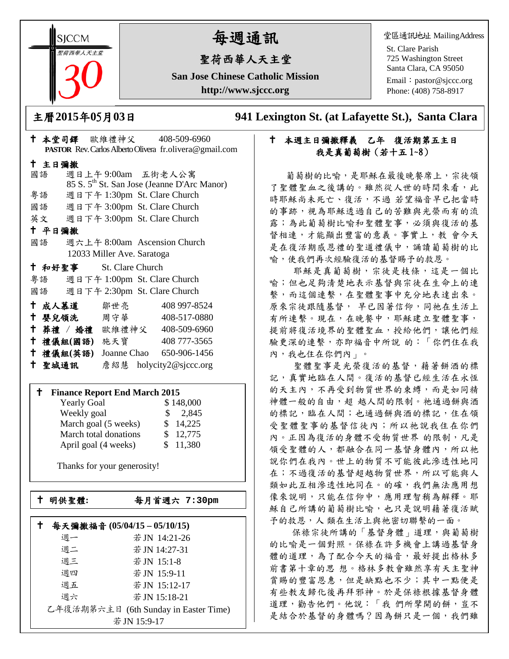**SICCM** 聖荷西華人天主堂 

# 每週通訊

# 聖荷西華人天主堂

**San Jose Chinese Catholic Mission http://www.sjccc.org**

堂區通訊地址 MailingAddress

St. Clare Parish 725 Washington Street Santa Clara, CA 95050

Email: [pastor@sjccc.org](mailto:pastor@sjccc.org) Phone: (408) 758-8917

主曆**2015**年**0**5月**03**日 **941 Lexington St. (at Lafayette St.), Santa Clara** 

# 本週主日彌撒釋義 乙年 復活期第五主日 我是真葡萄樹(若十五 1~8)

 葡萄樹的比喻,是耶穌在最後晚餐席上,宗徒領 了聖體聖血之後講的。雖然從人世的時間來看,此 時耶穌尚未死亡、復活,不過若望福音早已把當時 的事跡,視為耶穌透過自己的苦難與光榮而有的流 露;為此葡萄樹比喻和聖體聖事,必須與復活的基 督相連,才能顯出豐富的意義。事實上,教會今天 是在復活期感恩禮的聖道禮儀中,誦讀葡萄樹的比 喻,使我們再次經驗復活的基督賜予的救恩。

 耶穌是真葡萄樹,宗徒是枝條,這是一個比 喻;但也足夠清楚地表示基督與宗徒在生命上的連 繫,而這個連繫,在聖體聖事中充分地表達出來。 原來宗徒跟隨基督, 早已因著信仰,同祂在生活上 有所連繫。現在,在晚餐中,耶穌建立聖體聖事, 提前將復活境界的聖體聖血,授給他們,讓他們經 驗更深的連繫,亦即福音中所說 的:「你們住在我 內,我也住在你們內」。

 聖體聖事是光榮復活的基督,藉著餅酒的標 記,真實地臨在人間。復活的基督已經生活在永恆 的天主內,不再受到物質世界的束縛,而是如同精 神體一般的自由,超 越人間的限制。祂通過餅與酒 的標記,臨在人間;也通過餅與酒的標記,住在領 受聖體聖事的基督信徒內;所以祂說我住在你們 內。正因為復活的身體不受物質世界 的限制,凡是 領受聖體的人,都融合在同一基督身體內,所以祂 說你們在我內。世上的物質不可能彼此滲透性地同 在;不過復活的基督超越物質世界,所以可能與人 類如此互相滲透性地同在。的確,我們無法應用想 像來說明,只能在信仰中,應用理智稍為解釋。耶 穌自己所講的葡萄樹比喻,也只是說明藉著復活賦 予的救恩,人類在生活上與祂密切聯繫的一面。

保祿宗徒所講的「基督身體」道理,與葡萄樹 的比喻是一個對照。保祿在許多機會上講過基督身 體的道理,為了配合今天的福音,最好提出格林多 前書第十章的思 想。格林多教會雖然享有天主聖神 賞賜的豐富恩惠,但是缺點也不少;其中一點便是 有些教友歸化後再拜邪神。於是保祿根據基督身體 道理,勸告他們。他說:「我 們所擘開的餅,豈不 是結合於基督的身體嗎?因為餅只是一個,我們雖

|                            |        |           | $\frac{1}{2}$ $\frac{1}{2}$ $\frac{1}{2}$ $\frac{1}{2}$ $\frac{1}{2}$ $\frac{1}{2}$ $\frac{1}{2}$ $\frac{1}{2}$ $\frac{1}{2}$ $\frac{1}{2}$ |                                                                 |  |
|----------------------------|--------|-----------|---------------------------------------------------------------------------------------------------------------------------------------------|-----------------------------------------------------------------|--|
|                            |        |           |                                                                                                                                             | <b>PASTOR</b> Rev. Carlos Alberto Olivera fr. olivera@gmail.com |  |
|                            | 十 主日彌撒 |           |                                                                                                                                             |                                                                 |  |
|                            | 國語     |           | 週日上午9:00am 五街老人公寓                                                                                                                           |                                                                 |  |
|                            |        |           |                                                                                                                                             | 85 S. 5 <sup>th</sup> St. San Jose (Jeanne D'Arc Manor)         |  |
|                            | 粤語     |           | 週日下午 1:30pm St. Clare Church                                                                                                                |                                                                 |  |
|                            |        |           | 國語 週日下午 3:00pm St. Clare Church                                                                                                             |                                                                 |  |
|                            |        |           | 英文 週日下午 3:00pm St. Clare Church                                                                                                             |                                                                 |  |
|                            | 十 平日彌撒 |           |                                                                                                                                             |                                                                 |  |
|                            | 國語     |           | 週六上午 8:00am Ascension Church                                                                                                                |                                                                 |  |
| 12033 Miller Ave. Saratoga |        |           |                                                                                                                                             |                                                                 |  |
|                            |        |           | † 和好聖事 St. Clare Church                                                                                                                     |                                                                 |  |
|                            |        |           | 粤語 週日下午 1:00pm St. Clare Church                                                                                                             |                                                                 |  |
|                            |        |           | 國語 週日下午 2:30pm St. Clare Church                                                                                                             |                                                                 |  |
|                            | 十 成人慕道 |           | 鄒世亮                                                                                                                                         | 408 997-8524                                                    |  |
|                            |        |           | ← 嬰兒領洗──周守華──                                                                                                                               | 408-517-0880                                                    |  |
|                            |        |           | + 葬禮 / 婚禮 歐維禮神父 408-509-6960                                                                                                                |                                                                 |  |
|                            |        |           | † 禮儀組(國語) 施天寶 408777-3565                                                                                                                   |                                                                 |  |
|                            |        | 十 禮儀組(英語) | Joanne Chao 650-906-1456                                                                                                                    |                                                                 |  |

↑ 本堂司鐸 歐維禮神父 408-509-6960

### **Finance Report End March 2015**

聖城通訊 詹紹慧 holycity2@sjccc.org

| <b>Yearly Goal</b>    | \$148,000    |
|-----------------------|--------------|
| Weekly goal           | 2,845<br>SS. |
| March goal (5 weeks)  | \$14,225     |
| March total donations | \$12,775     |
| April goal (4 weeks)  | \$11,380     |

Thanks for your generosity!

└<br>├

明供聖體**:** 每月首週六 **7:30pm**

|    | 每天彌撒福音 (05/04/15-05/10/15)            |  |  |
|----|---------------------------------------|--|--|
| 週一 | 若JN 14:21-26                          |  |  |
| 週二 | 若 JN 14:27-31                         |  |  |
| 週三 | 若JN 15:1-8                            |  |  |
| 週四 | 若JN 15:9-11                           |  |  |
| 週五 | 若JN 15:12-17                          |  |  |
| 週六 | 若 JN 15:18-21                         |  |  |
|    | 乙年復活期第六主日 (6th Sunday in Easter Time) |  |  |
|    | 若 JN 15:9-17                          |  |  |
|    |                                       |  |  |